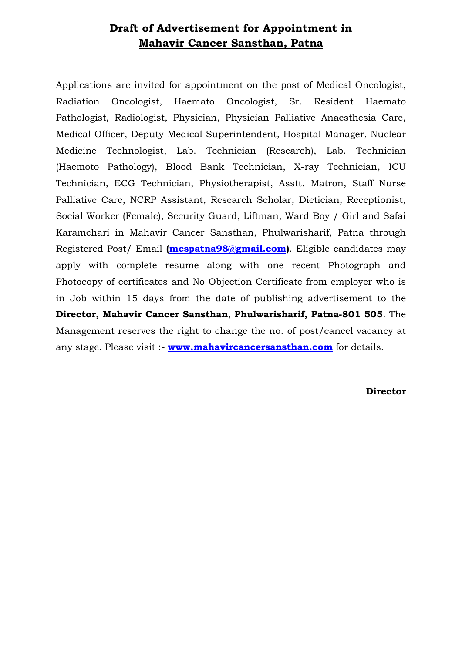## **Draft of Advertisement for Appointment in Mahavir Cancer Sansthan, Patna**

Applications are invited for appointment on the post of Medical Oncologist, Radiation Oncologist, Haemato Oncologist, Sr. Resident Haemato Pathologist, Radiologist, Physician, Physician Palliative Anaesthesia Care, Medical Officer, Deputy Medical Superintendent, Hospital Manager, Nuclear Medicine Technologist, Lab. Technician (Research), Lab. Technician (Haemoto Pathology), Blood Bank Technician, X-ray Technician, ICU Technician, ECG Technician, Physiotherapist, Asstt. Matron, Staff Nurse Palliative Care, NCRP Assistant, Research Scholar, Dietician, Receptionist, Social Worker (Female), Security Guard, Liftman, Ward Boy / Girl and Safai Karamchari in Mahavir Cancer Sansthan, Phulwarisharif, Patna through Registered Post/ Email **[\(mcspatna98@gmail.com\)](mailto:mcspatna98@gmail.com)**. Eligible candidates may apply with complete resume along with one recent Photograph and Photocopy of certificates and No Objection Certificate from employer who is in Job within 15 days from the date of publishing advertisement to the **Director, Mahavir Cancer Sansthan**, **Phulwarisharif, Patna-801 505**. The Management reserves the right to change the no. of post/cancel vacancy at any stage. Please visit :- **[www.mahavircancersansthan.com](http://www.mahavircancersansthan.com/)** for details.

**Director**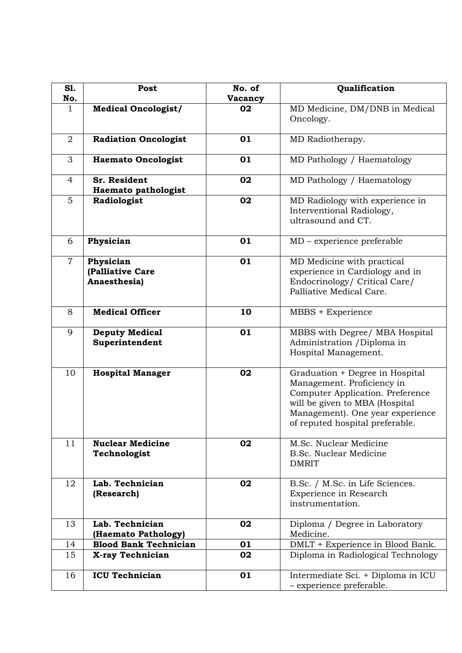| S1.            | Post                                          | No. of  | Qualification                                                                                                                                                                                              |
|----------------|-----------------------------------------------|---------|------------------------------------------------------------------------------------------------------------------------------------------------------------------------------------------------------------|
| No.            |                                               | Vacancy |                                                                                                                                                                                                            |
| $\mathbf{1}$   | <b>Medical Oncologist/</b>                    | 02      | MD Medicine, DM/DNB in Medical<br>Oncology.                                                                                                                                                                |
| $\overline{2}$ | <b>Radiation Oncologist</b>                   | 01      | MD Radiotherapy.                                                                                                                                                                                           |
| 3              | <b>Haemato Oncologist</b>                     | 01      | MD Pathology / Haematology                                                                                                                                                                                 |
| $\overline{4}$ | <b>Sr. Resident</b><br>Haemato pathologist    | 02      | MD Pathology / Haematology                                                                                                                                                                                 |
| $5\phantom{.}$ | Radiologist                                   | 02      | MD Radiology with experience in<br>Interventional Radiology,<br>ultrasound and CT.                                                                                                                         |
| 6              | Physician                                     | 01      | $MD$ – experience preferable                                                                                                                                                                               |
| $\overline{7}$ | Physician<br>(Palliative Care<br>Anaesthesia) | 01      | MD Medicine with practical<br>experience in Cardiology and in<br>Endocrinology/ Critical Care/<br>Palliative Medical Care.                                                                                 |
| 8              | <b>Medical Officer</b>                        | 10      | MBBS + Experience                                                                                                                                                                                          |
| 9              | <b>Deputy Medical</b><br>Superintendent       | 01      | MBBS with Degree/ MBA Hospital<br>Administration / Diploma in<br>Hospital Management.                                                                                                                      |
| 10             | <b>Hospital Manager</b>                       | 02      | Graduation + Degree in Hospital<br>Management. Proficiency in<br>Computer Application. Preference<br>will be given to MBA (Hospital<br>Management). One year experience<br>of reputed hospital preferable. |
| 11             | <b>Nuclear Medicine</b><br>Technologist       | 02      | M.Sc. Nuclear Medicine<br><b>B.Sc. Nuclear Medicine</b><br><b>DMRIT</b>                                                                                                                                    |
| 12             | Lab. Technician<br>(Research)                 | 02      | B.Sc. / M.Sc. in Life Sciences.<br>Experience in Research<br>instrumentation.                                                                                                                              |
| 13             | Lab. Technician<br>(Haemato Pathology)        | 02      | Diploma / Degree in Laboratory<br>Medicine.                                                                                                                                                                |
| 14             | <b>Blood Bank Technician</b>                  | 01      | DMLT + Experience in Blood Bank.                                                                                                                                                                           |
| 15             | X-ray Technician                              | 02      | Diploma in Radiological Technology                                                                                                                                                                         |
| 16             | <b>ICU Technician</b>                         | 01      | Intermediate Sci. + Diploma in ICU<br>- experience preferable.                                                                                                                                             |